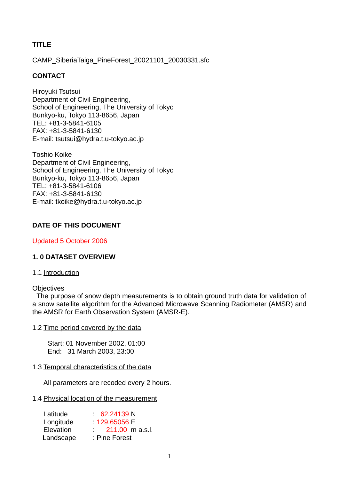# **TITLE**

CAMP\_SiberiaTaiga\_PineForest\_20021101\_20030331.sfc

# **CONTACT**

Hiroyuki Tsutsui Department of Civil Engineering, School of Engineering, The University of Tokyo Bunkyo-ku, Tokyo 113-8656, Japan TEL: +81-3-5841-6105 FAX: +81-3-5841-6130 E-mail: tsutsui@hydra.t.u-tokyo.ac.jp

Toshio Koike Department of Civil Engineering, School of Engineering, The University of Tokyo Bunkyo-ku, Tokyo 113-8656, Japan TEL: +81-3-5841-6106 FAX: +81-3-5841-6130 E-mail: tkoike@hydra.t.u-tokyo.ac.jp

# **DATE OF THIS DOCUMENT**

Updated 5 October 2006

# **1. 0 DATASET OVERVIEW**

### 1.1 Introduction

### **Objectives**

 The purpose of snow depth measurements is to obtain ground truth data for validation of a snow satellite algorithm for the Advanced Microwave Scanning Radiometer (AMSR) and the AMSR for Earth Observation System (AMSR-E).

### 1.2 Time period covered by the data

Start: 01 November 2002, 01:00 End: 31 March 2003, 23:00

# 1.3 Temporal characteristics of the data

All parameters are recoded every 2 hours.

### 1.4 Physical location of the measurement

| Latitude  | 62.24139 N              |
|-----------|-------------------------|
| Longitude | 129,65056 E             |
| Elevation | $211.00 \text{ m a.s.}$ |
| Landscape | : Pine Forest           |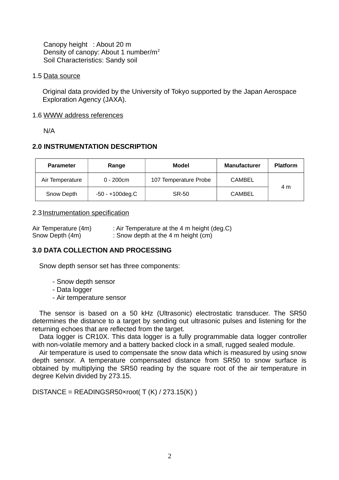Canopy height : About 20 m Density of canopy: About 1 number/m<sup>2</sup> Soil Characteristics: Sandy soil

### 1.5 Data source

Original data provided by the University of Tokyo supported by the Japan Aerospace Exploration Agency (JAXA).

### 1.6 WWW address references

N/A

# **2.0 INSTRUMENTATION DESCRIPTION**

| <b>Parameter</b> | Range              | Model                 | <b>Manufacturer</b> | <b>Platform</b> |
|------------------|--------------------|-----------------------|---------------------|-----------------|
| Air Temperature  | $0 - 200$ cm       | 107 Temperature Probe | <b>CAMBEL</b>       |                 |
| Snow Depth       | $-50 - +100$ deg.C | SR-50                 | <b>CAMBEL</b>       | 4 m             |

## 2.3 Instrumentation specification

| Air Temperature (4m) | : Air Temperature at the 4 m height (deg.C) |
|----------------------|---------------------------------------------|
| Snow Depth (4m)      | : Snow depth at the 4 m height (cm)         |

# **3.0 DATA COLLECTION AND PROCESSING**

Snow depth sensor set has three components:

- Snow depth sensor
- Data logger
- Air temperature sensor

The sensor is based on a 50 kHz (Ultrasonic) electrostatic transducer. The SR50 determines the distance to a target by sending out ultrasonic pulses and listening for the returning echoes that are reflected from the target.

Data logger is CR10X. This data logger is a fully programmable data logger controller with non-volatile memory and a battery backed clock in a small, rugged sealed module.

Air temperature is used to compensate the snow data which is measured by using snow depth sensor. A temperature compensated distance from SR50 to snow surface is obtained by multiplying the SR50 reading by the square root of the air temperature in degree Kelvin divided by 273.15.

 $DISTANCE = READINGSR50×root(T (K) / 273.15(K))$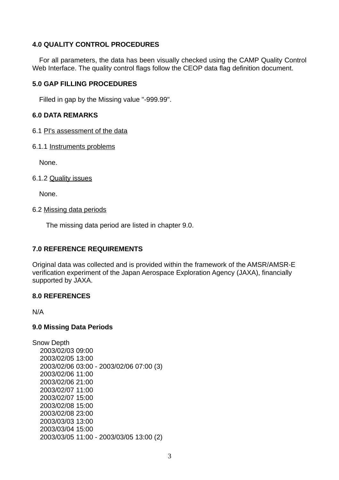# **4.0 QUALITY CONTROL PROCEDURES**

For all parameters, the data has been visually checked using the CAMP Quality Control Web Interface. The quality control flags follow the CEOP data flag definition document.

## **5.0 GAP FILLING PROCEDURES**

Filled in gap by the Missing value "-999.99".

## **6.0 DATA REMARKS**

- 6.1 PI's assessment of the data
- 6.1.1 Instruments problems

None.

## 6.1.2 Quality issues

None.

## 6.2 Missing data periods

The missing data period are listed in chapter 9.0.

# **7.0 REFERENCE REQUIREMENTS**

Original data was collected and is provided within the framework of the AMSR/AMSR-E verification experiment of the Japan Aerospace Exploration Agency (JAXA), financially supported by JAXA.

### **8.0 REFERENCES**

N/A

# **9.0 Missing Data Periods**

Snow Depth 2003/02/03 09:00 2003/02/05 13:00 2003/02/06 03:00 - 2003/02/06 07:00 (3) 2003/02/06 11:00 2003/02/06 21:00 2003/02/07 11:00 2003/02/07 15:00 2003/02/08 15:00 2003/02/08 23:00 2003/03/03 13:00 2003/03/04 15:00 2003/03/05 11:00 - 2003/03/05 13:00 (2)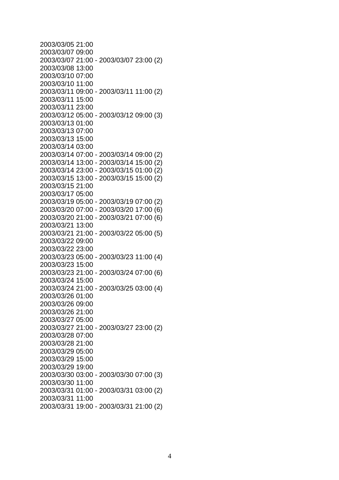| 2003/03/05 21:00                        |  |
|-----------------------------------------|--|
| 2003/03/07 09:00                        |  |
| 2003/03/07 21:00 - 2003/03/07 23:00 (2) |  |
| 2003/03/08 13:00                        |  |
| 2003/03/10 07:00                        |  |
| 2003/03/10 11:00                        |  |
| 2003/03/11 09:00 - 2003/03/11 11:00 (2) |  |
| 2003/03/11 15:00                        |  |
|                                         |  |
| 2003/03/11 23:00                        |  |
| 2003/03/12 05:00 - 2003/03/12 09:00 (3) |  |
| 2003/03/13 01:00                        |  |
| 2003/03/13 07:00                        |  |
| 2003/03/13 15:00                        |  |
| 2003/03/14 03:00                        |  |
| 2003/03/14 07:00 - 2003/03/14 09:00 (2) |  |
| 2003/03/14 13:00 - 2003/03/14 15:00 (2) |  |
| 2003/03/14 23:00 - 2003/03/15 01:00 (2) |  |
| 2003/03/15 13:00 - 2003/03/15 15:00 (2) |  |
| 2003/03/15 21:00                        |  |
| 2003/03/17 05:00                        |  |
| 2003/03/19 05:00 - 2003/03/19 07:00 (2) |  |
| 2003/03/20 07:00 - 2003/03/20 17:00 (6) |  |
| 2003/03/20 21:00 - 2003/03/21 07:00 (6) |  |
| 2003/03/21 13:00                        |  |
| 2003/03/21 21:00 - 2003/03/22 05:00 (5) |  |
| 2003/03/22 09:00                        |  |
|                                         |  |
| 2003/03/22 23:00                        |  |
| 2003/03/23 05:00 - 2003/03/23 11:00 (4) |  |
| 2003/03/23 15:00                        |  |
| 2003/03/23 21:00 - 2003/03/24 07:00 (6) |  |
| 2003/03/24 15:00                        |  |
| 2003/03/24 21:00 - 2003/03/25 03:00 (4) |  |
| 2003/03/26 01:00                        |  |
| 2003/03/26 09:00                        |  |
| 2003/03/26 21:00                        |  |
| 2003/03/27 05:00                        |  |
| 2003/03/27 21:00 - 2003/03/27 23:00 (2) |  |
| 2003/03/28 07:00                        |  |
| 2003/03/28 21:00                        |  |
| 2003/03/29 05:00                        |  |
| 2003/03/29 15:00                        |  |
| 2003/03/29 19:00                        |  |
| 2003/03/30 03:00 - 2003/03/30 07:00 (3) |  |
| 2003/03/30 11:00                        |  |
| 2003/03/31 01:00 - 2003/03/31 03:00 (2) |  |
| 2003/03/31 11:00                        |  |
|                                         |  |
| 2003/03/31 19:00 - 2003/03/31 21:00 (2) |  |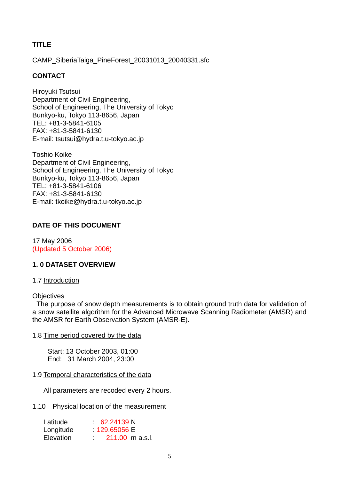# **TITLE**

CAMP\_SiberiaTaiga\_PineForest\_20031013\_20040331.sfc

# **CONTACT**

Hiroyuki Tsutsui Department of Civil Engineering, School of Engineering, The University of Tokyo Bunkyo-ku, Tokyo 113-8656, Japan TEL: +81-3-5841-6105 FAX: +81-3-5841-6130 E-mail: tsutsui@hydra.t.u-tokyo.ac.jp

Toshio Koike Department of Civil Engineering, School of Engineering, The University of Tokyo Bunkyo-ku, Tokyo 113-8656, Japan TEL: +81-3-5841-6106 FAX: +81-3-5841-6130 E-mail: tkoike@hydra.t.u-tokyo.ac.jp

# **DATE OF THIS DOCUMENT**

17 May 2006 (Updated 5 October 2006)

# **1. 0 DATASET OVERVIEW**

# 1.7 Introduction

### **Objectives**

 The purpose of snow depth measurements is to obtain ground truth data for validation of a snow satellite algorithm for the Advanced Microwave Scanning Radiometer (AMSR) and the AMSR for Earth Observation System (AMSR-E).

### 1.8 Time period covered by the data

Start: 13 October 2003, 01:00 End: 31 March 2004, 23:00

# 1.9 Temporal characteristics of the data

All parameters are recoded every 2 hours.

### 1.10 Physical location of the measurement

| Latitude         | 62.24139 N              |
|------------------|-------------------------|
| Longitude        | 129,65056 E             |
| <b>Elevation</b> | $211.00 \text{ m a.s.}$ |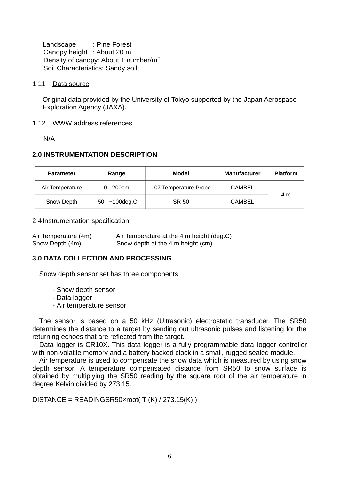Landscape : Pine Forest Canopy height : About 20 m Density of canopy: About 1 number/m<sup>2</sup> Soil Characteristics: Sandy soil

### 1.11 Data source

Original data provided by the University of Tokyo supported by the Japan Aerospace Exploration Agency (JAXA).

### 1.12 WWW address references

N/A

## **2.0 INSTRUMENTATION DESCRIPTION**

| <b>Parameter</b> | Range              | Model                 | <b>Manufacturer</b> | <b>Platform</b> |
|------------------|--------------------|-----------------------|---------------------|-----------------|
| Air Temperature  | $0 - 200$ cm       | 107 Temperature Probe | CAMBEL              |                 |
| Snow Depth       | $-50 - +100$ deg.C | SR-50                 | <b>CAMBEL</b>       | 4 m             |

#### 2.4 Instrumentation specification

Air Temperature  $(4m)$  : Air Temperature at the 4 m height  $(\text{deg.C})$ Snow Depth (4m) : Snow depth at the 4 m height (cm)

### **3.0 DATA COLLECTION AND PROCESSING**

Snow depth sensor set has three components:

- Snow depth sensor
- Data logger
- Air temperature sensor

The sensor is based on a 50 kHz (Ultrasonic) electrostatic transducer. The SR50 determines the distance to a target by sending out ultrasonic pulses and listening for the returning echoes that are reflected from the target.

Data logger is CR10X. This data logger is a fully programmable data logger controller with non-volatile memory and a battery backed clock in a small, rugged sealed module.

Air temperature is used to compensate the snow data which is measured by using snow depth sensor. A temperature compensated distance from SR50 to snow surface is obtained by multiplying the SR50 reading by the square root of the air temperature in degree Kelvin divided by 273.15.

DISTANCE = READINGSR50×root(  $T(K)$  / 273.15(K))